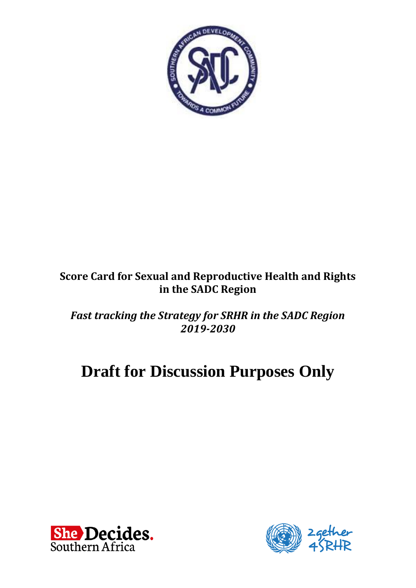

## **Score Card for Sexual and Reproductive Health and Rights in the SADC Region**

*Fast tracking the Strategy for SRHR in the SADC Region 2019-2030*

# **Draft for Discussion Purposes Only**



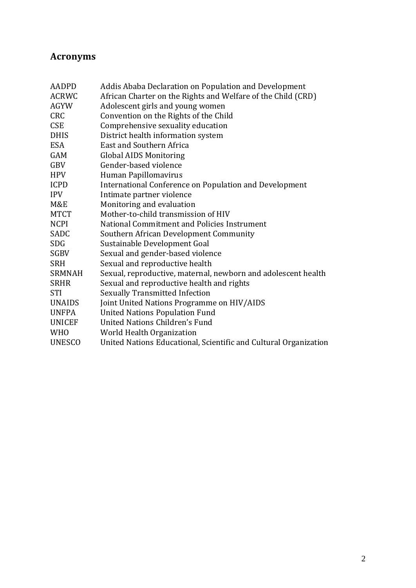## <span id="page-1-0"></span>**Acronyms**

| <b>AADPD</b>  | Addis Ababa Declaration on Population and Development            |
|---------------|------------------------------------------------------------------|
| <b>ACRWC</b>  | African Charter on the Rights and Welfare of the Child (CRD)     |
| <b>AGYW</b>   | Adolescent girls and young women                                 |
| <b>CRC</b>    | Convention on the Rights of the Child                            |
| <b>CSE</b>    | Comprehensive sexuality education                                |
| <b>DHIS</b>   | District health information system                               |
| <b>ESA</b>    | East and Southern Africa                                         |
| <b>GAM</b>    | <b>Global AIDS Monitoring</b>                                    |
| GBV           | Gender-based violence                                            |
| <b>HPV</b>    | Human Papillomavirus                                             |
| <b>ICPD</b>   | International Conference on Population and Development           |
| <b>IPV</b>    | Intimate partner violence                                        |
| M&E           | Monitoring and evaluation                                        |
| <b>MTCT</b>   | Mother-to-child transmission of HIV                              |
| <b>NCPI</b>   | National Commitment and Policies Instrument                      |
| SADC          | Southern African Development Community                           |
| <b>SDG</b>    | Sustainable Development Goal                                     |
| <b>SGBV</b>   | Sexual and gender-based violence                                 |
| <b>SRH</b>    | Sexual and reproductive health                                   |
| <b>SRMNAH</b> | Sexual, reproductive, maternal, newborn and adolescent health    |
| <b>SRHR</b>   | Sexual and reproductive health and rights                        |
| <b>STI</b>    | <b>Sexually Transmitted Infection</b>                            |
| <b>UNAIDS</b> | Joint United Nations Programme on HIV/AIDS                       |
| <b>UNFPA</b>  | <b>United Nations Population Fund</b>                            |
| <b>UNICEF</b> | United Nations Children's Fund                                   |
| <b>WHO</b>    | World Health Organization                                        |
| <b>UNESCO</b> | United Nations Educational, Scientific and Cultural Organization |
|               |                                                                  |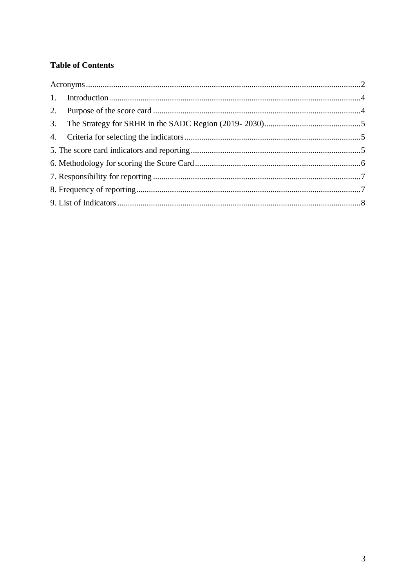#### **Table of Contents**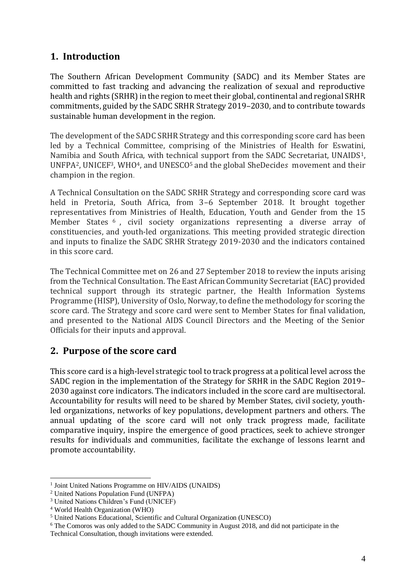#### <span id="page-3-0"></span>**1. Introduction**

The Southern African Development Community (SADC) and its Member States are committed to fast tracking and advancing the realization of sexual and reproductive health and rights (SRHR) in the region to meet their global, continental and regional SRHR commitments, guided by the SADC SRHR Strategy 2019–2030, and to contribute towards sustainable human development in the region.

The development of the SADC SRHR Strategy and this corresponding score card has been led by a Technical Committee, comprising of the Ministries of Health for Eswatini, Namibia and South Africa, with technical support from the SADC Secretariat, UNAIDS1, UNFPA2, UNICEF3, WHO4, and UNESCO<sup>5</sup> and the global SheDecide*s* movement and their champion in the region.

A Technical Consultation on the SADC SRHR Strategy and corresponding score card was held in Pretoria, South Africa, from 3–6 September 2018. It brought together representatives from Ministries of Health, Education, Youth and Gender from the 15 Member States <sup>6</sup>, civil society organizations representing a diverse array of constituencies, and youth-led organizations. This meeting provided strategic direction and inputs to finalize the SADC SRHR Strategy 2019-2030 and the indicators contained in this score card.

The Technical Committee met on 26 and 27 September 2018 to review the inputs arising from the Technical Consultation. The East African Community Secretariat (EAC) provided technical support through its strategic partner, the Health Information Systems Programme (HISP), University of Oslo, Norway, to define the methodology for scoring the score card. The Strategy and score card were sent to Member States for final validation, and presented to the National AIDS Council Directors and the Meeting of the Senior Officials for their inputs and approval.

#### <span id="page-3-1"></span>**2. Purpose of the score card**

This score card is a high-level strategic tool to track progress at a political level across the SADC region in the implementation of the Strategy for SRHR in the SADC Region 2019– 2030 against core indicators. The indicators included in the score card are multisectoral. Accountability for results will need to be shared by Member States, civil society, youthled organizations, networks of key populations, development partners and others. The annual updating of the score card will not only track progress made, facilitate comparative inquiry, inspire the emergence of good practices, seek to achieve stronger results for individuals and communities, facilitate the exchange of lessons learnt and promote accountability.

 $\overline{a}$ <sup>1</sup> Joint United Nations Programme on HIV/AIDS (UNAIDS)

<sup>2</sup> United Nations Population Fund (UNFPA)

<sup>3</sup> United Nations Children's Fund (UNICEF)

<sup>4</sup> World Health Organization (WHO)

<sup>5</sup> United Nations Educational, Scientific and Cultural Organization (UNESCO)

<sup>6</sup> The Comoros was only added to the SADC Community in August 2018, and did not participate in the Technical Consultation, though invitations were extended.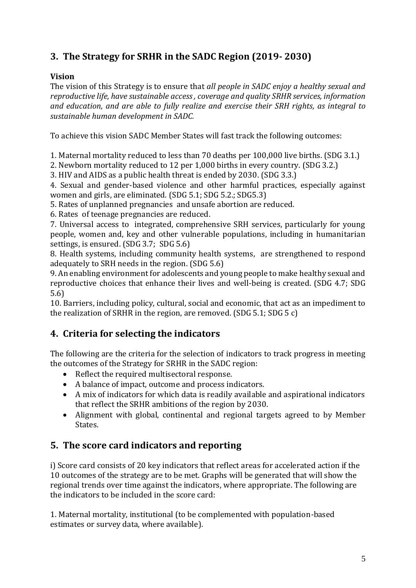## <span id="page-4-0"></span>**3. The Strategy for SRHR in the SADC Region (2019- 2030)**

#### **Vision**

The vision of this Strategy is to ensure that *all people in SADC enjoy a healthy sexual and reproductive life, have sustainable access , coverage and quality SRHR services, information and education, and are able to fully realize and exercise their SRH rights, as integral to sustainable human development in SADC.*

To achieve this vision SADC Member States will fast track the following outcomes:

1. Maternal mortality reduced to less than 70 deaths per 100,000 live births. (SDG 3.1.)

2. Newborn mortality reduced to 12 per 1,000 births in every country. (SDG 3.2.)

3. HIV and AIDS as a public health threat is ended by 2030. (SDG 3.3.)

4. Sexual and gender-based violence and other harmful practices, especially against women and girls, are eliminated. (SDG 5.1; SDG 5.2.; SDG5.3)

5. Rates of unplanned pregnancies and unsafe abortion are reduced.

6. Rates of teenage pregnancies are reduced.

7. Universal access to integrated, comprehensive SRH services, particularly for young people, women and, key and other vulnerable populations, including in humanitarian settings, is ensured. (SDG 3.7; SDG 5.6)

8. Health systems, including community health systems, are strengthened to respond adequately to SRH needs in the region. (SDG 5.6)

9. An enabling environment for adolescents and young people to make healthy sexual and reproductive choices that enhance their lives and well-being is created. (SDG 4.7; SDG 5.6)

10. Barriers, including policy, cultural, social and economic, that act as an impediment to the realization of SRHR in the region, are removed. (SDG 5.1; SDG 5 c)

## <span id="page-4-1"></span>**4. Criteria for selecting the indicators**

The following are the criteria for the selection of indicators to track progress in meeting the outcomes of the Strategy for SRHR in the SADC region:

- Reflect the required multisectoral response.
- A balance of impact, outcome and process indicators.
- A mix of indicators for which data is readily available and aspirational indicators that reflect the SRHR ambitions of the region by 2030.
- Alignment with global, continental and regional targets agreed to by Member States.

## <span id="page-4-2"></span>**5. The score card indicators and reporting**

i) Score card consists of 20 key indicators that reflect areas for accelerated action if the 10 outcomes of the strategy are to be met. Graphs will be generated that will show the regional trends over time against the indicators, where appropriate. The following are the indicators to be included in the score card:

1. Maternal mortality, institutional (to be complemented with population-based estimates or survey data, where available).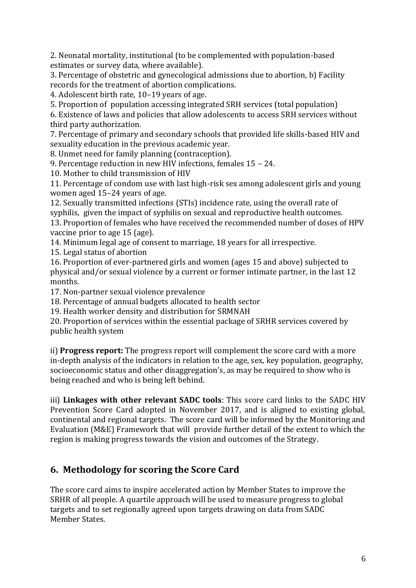2. Neonatal mortality, institutional (to be complemented with population-based estimates or survey data, where available).

3. Percentage of obstetric and gynecological admissions due to abortion, b) Facility records for the treatment of abortion complications.

4. Adolescent birth rate, 10–19 years of age.

5. Proportion of population accessing integrated SRH services (total population)

6. Existence of laws and policies that allow adolescents to access SRH services without third party authorization.

7. Percentage of primary and secondary schools that provided life skills-based HIV and sexuality education in the previous academic year.

8. Unmet need for family planning (contraception).

9. Percentage reduction in new HIV infections, females 15 – 24.

10. Mother to child transmission of HIV

11. Percentage of condom use with last high-risk sex among adolescent girls and young women aged 15–24 years of age.

12. Sexually transmitted infections (STIs) incidence rate, using the overall rate of syphilis, given the impact of syphilis on sexual and reproductive health outcomes. 13. Proportion of females who have received the recommended number of doses of HPV vaccine prior to age 15 (age).

14. Minimum legal age of consent to marriage, 18 years for all irrespective.

15. Legal status of abortion

16. Proportion of ever-partnered girls and women (ages 15 and above) subjected to physical and/or sexual violence by a current or former intimate partner, in the last 12 months.

17. Non-partner sexual violence prevalence

18. Percentage of annual budgets allocated to health sector

19. Health worker density and distribution for SRMNAH

20. Proportion of services within the essential package of SRHR services covered by public health system

ii) **Progress report:** The progress report will complement the score card with a more in-depth analysis of the indicators in relation to the age, sex, key population, geography, socioeconomic status and other disaggregation's, as may be required to show who is being reached and who is being left behind.

iii) **Linkages with other relevant SADC tools**: This score card links to the SADC HIV Prevention Score Card adopted in November 2017, and is aligned to existing global, continental and regional targets. The score card will be informed by the Monitoring and Evaluation (M&E) Framework that will provide further detail of the extent to which the region is making progress towards the vision and outcomes of the Strategy.

#### <span id="page-5-0"></span>**6. Methodology for scoring the Score Card**

The score card aims to inspire accelerated action by Member States to improve the SRHR of all people. A quartile approach will be used to measure progress to global targets and to set regionally agreed upon targets drawing on data from SADC Member States.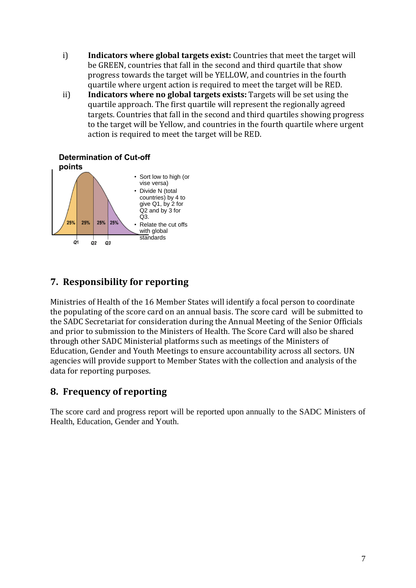- i) **Indicators where global targets exist:** Countries that meet the target will be GREEN, countries that fall in the second and third quartile that show progress towards the target will be YELLOW, and countries in the fourth quartile where urgent action is required to meet the target will be RED.
- ii) **Indicators where no global targets exists:** Targets will be set using the quartile approach. The first quartile will represent the regionally agreed targets. Countries that fall in the second and third quartiles showing progress to the target will be Yellow, and countries in the fourth quartile where urgent action is required to meet the target will be RED.



#### **Determination of Cut-off**

### <span id="page-6-0"></span>**7. Responsibility for reporting**

Ministries of Health of the 16 Member States will identify a focal person to coordinate the populating of the score card on an annual basis. The score card will be submitted to the SADC Secretariat for consideration during the Annual Meeting of the Senior Officials and prior to submission to the Ministers of Health. The Score Card will also be shared through other SADC Ministerial platforms such as meetings of the Ministers of Education, Gender and Youth Meetings to ensure accountability across all sectors. UN agencies will provide support to Member States with the collection and analysis of the data for reporting purposes.

#### <span id="page-6-1"></span>**8. Frequency of reporting**

The score card and progress report will be reported upon annually to the SADC Ministers of Health, Education, Gender and Youth.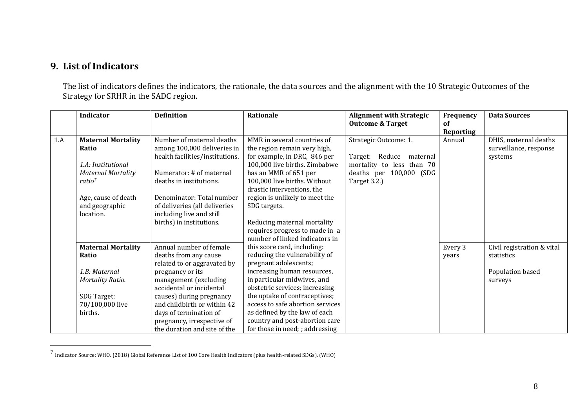#### **9. List of Indicators**

 $\overline{a}$ 

The list of indicators defines the indicators, the rationale, the data sources and the alignment with the 10 Strategic Outcomes of the Strategy for SRHR in the SADC region.

<span id="page-7-0"></span>

|     | Indicator                 | <b>Definition</b>               | Rationale                        | <b>Alignment with Strategic</b> | Frequency        | <b>Data Sources</b>        |
|-----|---------------------------|---------------------------------|----------------------------------|---------------------------------|------------------|----------------------------|
|     |                           |                                 |                                  | <b>Outcome &amp; Target</b>     | of               |                            |
|     |                           |                                 |                                  |                                 | <b>Reporting</b> |                            |
| 1.A | <b>Maternal Mortality</b> | Number of maternal deaths       | MMR in several countries of      | Strategic Outcome: 1.           | Annual           | DHIS, maternal deaths      |
|     | Ratio                     | among 100,000 deliveries in     | the region remain very high,     |                                 |                  | surveillance, response     |
|     |                           | health facilities/institutions. | for example, in DRC, 846 per     | Target:<br>Reduce<br>maternal   |                  | systems                    |
|     | 1.A: Institutional        |                                 | 100,000 live births. Zimbabwe    | mortality to less than 70       |                  |                            |
|     | <b>Maternal Mortality</b> | Numerator: # of maternal        | has an MMR of 651 per            | deaths per 100,000 (SDG         |                  |                            |
|     | ratio <sup>7</sup>        | deaths in institutions.         | 100,000 live births. Without     | Target 3.2.)                    |                  |                            |
|     |                           |                                 | drastic interventions, the       |                                 |                  |                            |
|     | Age, cause of death       | Denominator: Total number       | region is unlikely to meet the   |                                 |                  |                            |
|     | and geographic            | of deliveries (all deliveries   | SDG targets.                     |                                 |                  |                            |
|     | location.                 | including live and still        |                                  |                                 |                  |                            |
|     |                           | births) in institutions.        | Reducing maternal mortality      |                                 |                  |                            |
|     |                           |                                 | requires progress to made in a   |                                 |                  |                            |
|     |                           |                                 | number of linked indicators in   |                                 |                  |                            |
|     | <b>Maternal Mortality</b> | Annual number of female         | this score card, including:      |                                 | Every 3          | Civil registration & vital |
|     | Ratio                     | deaths from any cause           | reducing the vulnerability of    |                                 | years            | statistics                 |
|     |                           | related to or aggravated by     | pregnant adolescents;            |                                 |                  |                            |
|     | 1.B: Maternal             | pregnancy or its                | increasing human resources,      |                                 |                  | Population based           |
|     | <b>Mortality Ratio.</b>   | management (excluding           | in particular midwives, and      |                                 |                  | surveys                    |
|     |                           | accidental or incidental        | obstetric services; increasing   |                                 |                  |                            |
|     | SDG Target:               | causes) during pregnancy        | the uptake of contraceptives;    |                                 |                  |                            |
|     | 70/100,000 live           | and childbirth or within 42     | access to safe abortion services |                                 |                  |                            |
|     | births.                   | days of termination of          | as defined by the law of each    |                                 |                  |                            |
|     |                           | pregnancy, irrespective of      | country and post-abortion care   |                                 |                  |                            |
|     |                           | the duration and site of the    | for those in need; ; addressing  |                                 |                  |                            |

 $^7$  Indicator Source: WHO. (2018) Global Reference List of 100 Core Health Indicators (plus health-related SDGs). (WHO)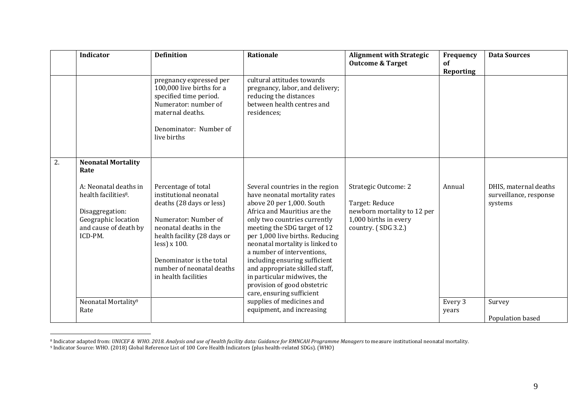|    | <b>Indicator</b>                                                                                                                        | <b>Definition</b>                                                                                                                                                                                                                                              | Rationale                                                                                                                                                                                                                                                                                                                                                                                                                                                       | <b>Alignment with Strategic</b><br><b>Outcome &amp; Target</b>                                                        | Frequency<br>of<br>Reporting | <b>Data Sources</b>                                        |
|----|-----------------------------------------------------------------------------------------------------------------------------------------|----------------------------------------------------------------------------------------------------------------------------------------------------------------------------------------------------------------------------------------------------------------|-----------------------------------------------------------------------------------------------------------------------------------------------------------------------------------------------------------------------------------------------------------------------------------------------------------------------------------------------------------------------------------------------------------------------------------------------------------------|-----------------------------------------------------------------------------------------------------------------------|------------------------------|------------------------------------------------------------|
|    |                                                                                                                                         | pregnancy expressed per<br>100,000 live births for a<br>specified time period.<br>Numerator: number of<br>maternal deaths.<br>Denominator: Number of<br>live births                                                                                            | cultural attitudes towards<br>pregnancy, labor, and delivery;<br>reducing the distances<br>between health centres and<br>residences;                                                                                                                                                                                                                                                                                                                            |                                                                                                                       |                              |                                                            |
| 2. | <b>Neonatal Mortality</b><br>Rate                                                                                                       |                                                                                                                                                                                                                                                                |                                                                                                                                                                                                                                                                                                                                                                                                                                                                 |                                                                                                                       |                              |                                                            |
|    | A: Neonatal deaths in<br>health facilities <sup>8</sup> .<br>Disaggregation:<br>Geographic location<br>and cause of death by<br>ICD-PM. | Percentage of total<br>institutional neonatal<br>deaths (28 days or less)<br>Numerator: Number of<br>neonatal deaths in the<br>health facility (28 days or<br>$less$ ) x 100.<br>Denominator is the total<br>number of neonatal deaths<br>in health facilities | Several countries in the region<br>have neonatal mortality rates<br>above 20 per 1,000. South<br>Africa and Mauritius are the<br>only two countries currently<br>meeting the SDG target of 12<br>per 1,000 live births. Reducing<br>neonatal mortality is linked to<br>a number of interventions,<br>including ensuring sufficient<br>and appropriate skilled staff,<br>in particular midwives, the<br>provision of good obstetric<br>care, ensuring sufficient | Strategic Outcome: 2<br>Target: Reduce<br>newborn mortality to 12 per<br>1,000 births in every<br>country. (SDG 3.2.) | Annual                       | DHIS, maternal deaths<br>surveillance, response<br>systems |
|    | Neonatal Mortality <sup>9</sup><br>Rate                                                                                                 |                                                                                                                                                                                                                                                                | supplies of medicines and<br>equipment, and increasing                                                                                                                                                                                                                                                                                                                                                                                                          |                                                                                                                       | Every 3<br>years             | Survey<br>Population based                                 |

 $\overline{a}$ <sup>8</sup> Indicator adapted from: *UNICEF & WHO. 2018. Analysis and use of health facility data: Guidance for RMNCAH Programme Managers* to measure institutional neonatal mortality. <sup>9</sup> Indicator Source: WHO. (2018) Global Reference List of 100 Core Health Indicators (plus health-related SDGs). (WHO)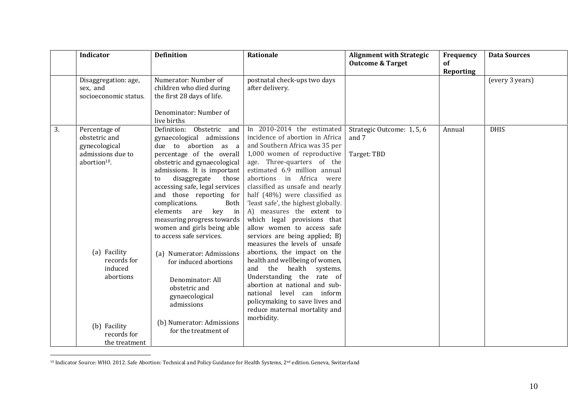|    | Indicator                                                                                                                                                               | <b>Definition</b>                                                                                                                                                                                                                                                                                                                                                                                                                                                                                                                                                                                           | Rationale                                                                                                                                                                                                                                                                                                                                                                                                                                                                                                                                                                                                                                                                                                                                                                             | <b>Alignment with Strategic</b><br><b>Outcome &amp; Target</b> | Frequency<br>of  | <b>Data Sources</b> |
|----|-------------------------------------------------------------------------------------------------------------------------------------------------------------------------|-------------------------------------------------------------------------------------------------------------------------------------------------------------------------------------------------------------------------------------------------------------------------------------------------------------------------------------------------------------------------------------------------------------------------------------------------------------------------------------------------------------------------------------------------------------------------------------------------------------|---------------------------------------------------------------------------------------------------------------------------------------------------------------------------------------------------------------------------------------------------------------------------------------------------------------------------------------------------------------------------------------------------------------------------------------------------------------------------------------------------------------------------------------------------------------------------------------------------------------------------------------------------------------------------------------------------------------------------------------------------------------------------------------|----------------------------------------------------------------|------------------|---------------------|
|    |                                                                                                                                                                         |                                                                                                                                                                                                                                                                                                                                                                                                                                                                                                                                                                                                             |                                                                                                                                                                                                                                                                                                                                                                                                                                                                                                                                                                                                                                                                                                                                                                                       |                                                                | <b>Reporting</b> |                     |
|    | Disaggregation: age,<br>sex, and<br>socioeconomic status.                                                                                                               | Numerator: Number of<br>children who died during<br>the first 28 days of life.<br>Denominator: Number of<br>live births                                                                                                                                                                                                                                                                                                                                                                                                                                                                                     | postnatal check-ups two days<br>after delivery.                                                                                                                                                                                                                                                                                                                                                                                                                                                                                                                                                                                                                                                                                                                                       |                                                                |                  | (every 3 years)     |
| 3. | Percentage of<br>obstetric and<br>gynecological<br>admissions due to<br>abortion <sup>10</sup> .<br>(a) Facility<br>records for<br>induced<br>abortions<br>(b) Facility | Obstetric and<br>Definition:<br>gynaecological admissions<br>due to abortion as a<br>percentage of the overall<br>obstetric and gynaecological<br>admissions. It is important<br>disaggregate<br>those<br>to<br>accessing safe, legal services<br>and those reporting for<br>complications.<br>Both<br>elements<br>in<br>key<br>are<br>measuring progress towards<br>women and girls being able<br>to access safe services.<br>(a) Numerator: Admissions<br>for induced abortions<br>Denominator: All<br>obstetric and<br>gynaecological<br>admissions<br>(b) Numerator: Admissions<br>for the treatment of | In 2010-2014 the estimated<br>incidence of abortion in Africa<br>and Southern Africa was 35 per<br>1,000 women of reproductive<br>age. Three-quarters of the<br>estimated 6.9 million annual<br>abortions<br>in Africa were<br>classified as unsafe and nearly<br>half (48%) were classified as<br>'least safe', the highest globally.<br>A) measures the extent to<br>which legal provisions that<br>allow women to access safe<br>services are being applied; B)<br>measures the levels of unsafe<br>abortions, the impact on the<br>health and wellbeing of women,<br>the<br>health<br>and<br>systems.<br>Understanding the rate of<br>abortion at national and sub-<br>national level can inform<br>policymaking to save lives and<br>reduce maternal mortality and<br>morbidity. | Strategic Outcome: 1, 5, 6<br>and 7<br>Target: TBD             | Annual           | <b>DHIS</b>         |
|    | records for<br>the treatment                                                                                                                                            |                                                                                                                                                                                                                                                                                                                                                                                                                                                                                                                                                                                                             |                                                                                                                                                                                                                                                                                                                                                                                                                                                                                                                                                                                                                                                                                                                                                                                       |                                                                |                  |                     |

<sup>10</sup> Indicator Source: WHO. 2012. Safe Abortion: Technical and Policy Guidance for Health Systems, 2nd edition. Geneva, Switzerland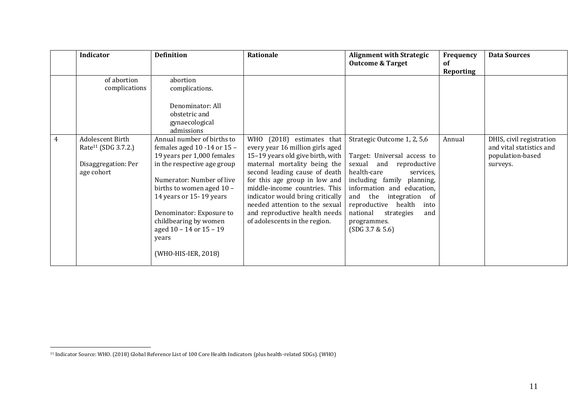|   | <b>Indicator</b>                | <b>Definition</b>           | Rationale                        | <b>Alignment with Strategic</b><br><b>Outcome &amp; Target</b> | Frequency<br>of | <b>Data Sources</b>      |
|---|---------------------------------|-----------------------------|----------------------------------|----------------------------------------------------------------|-----------------|--------------------------|
|   |                                 |                             |                                  |                                                                | Reporting       |                          |
|   | of abortion                     | abortion                    |                                  |                                                                |                 |                          |
|   | complications                   | complications.              |                                  |                                                                |                 |                          |
|   |                                 |                             |                                  |                                                                |                 |                          |
|   |                                 | Denominator: All            |                                  |                                                                |                 |                          |
|   |                                 | obstetric and               |                                  |                                                                |                 |                          |
|   |                                 | gynaecological              |                                  |                                                                |                 |                          |
|   |                                 | admissions                  |                                  |                                                                |                 |                          |
| 4 | Adolescent Birth                | Annual number of births to  | WHO (2018) estimates that        | Strategic Outcome 1, 2, 5,6                                    | Annual          | DHIS, civil registration |
|   | Rate <sup>11</sup> (SDG 3.7.2.) | females aged 10 -14 or 15 - | every year 16 million girls aged |                                                                |                 | and vital statistics and |
|   |                                 | 19 years per 1,000 females  | 15-19 years old give birth, with | Target: Universal access to                                    |                 | population-based         |
|   | Disaggregation: Per             | in the respective age group | maternal mortality being the     | sexual<br>and<br>reproductive                                  |                 | surveys.                 |
|   | age cohort                      |                             | second leading cause of death    | health-care<br>services.                                       |                 |                          |
|   |                                 | Numerator: Number of live   | for this age group in low and    | including family planning,                                     |                 |                          |
|   |                                 | births to women aged 10 -   | middle-income countries. This    | information and education,                                     |                 |                          |
|   |                                 | 14 years or 15-19 years     | indicator would bring critically | and the<br>integration of                                      |                 |                          |
|   |                                 |                             | needed attention to the sexual   | reproductive<br>health<br>into                                 |                 |                          |
|   |                                 | Denominator: Exposure to    | and reproductive health needs    | national<br>strategies<br>and                                  |                 |                          |
|   |                                 | childbearing by women       | of adolescents in the region.    | programmes.                                                    |                 |                          |
|   |                                 | aged 10 - 14 or 15 - 19     |                                  | (SDG 3.7 & 5.6)                                                |                 |                          |
|   |                                 | years                       |                                  |                                                                |                 |                          |
|   |                                 |                             |                                  |                                                                |                 |                          |
|   |                                 | (WHO-HIS-IER, 2018)         |                                  |                                                                |                 |                          |
|   |                                 |                             |                                  |                                                                |                 |                          |

<sup>11</sup> Indicator Source: WHO. (2018) Global Reference List of 100 Core Health Indicators (plus health-related SDGs). (WHO)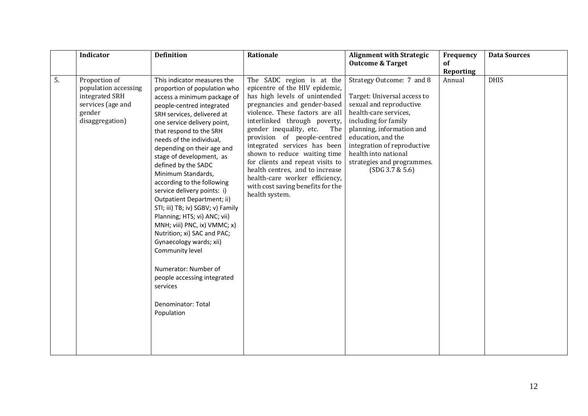|    | <b>Indicator</b>                                                                                          | <b>Definition</b>                                                                                                                                                                                                                                                                                                                                                                                                                                                                                                                                                                                                                                                                                                                      | Rationale                                                                                                                                                                                                                                                                                                                                                                                                                                                                                        | <b>Alignment with Strategic</b><br><b>Outcome &amp; Target</b>                                                                                                                                                                                                                                  | Frequency<br>of  | <b>Data Sources</b> |
|----|-----------------------------------------------------------------------------------------------------------|----------------------------------------------------------------------------------------------------------------------------------------------------------------------------------------------------------------------------------------------------------------------------------------------------------------------------------------------------------------------------------------------------------------------------------------------------------------------------------------------------------------------------------------------------------------------------------------------------------------------------------------------------------------------------------------------------------------------------------------|--------------------------------------------------------------------------------------------------------------------------------------------------------------------------------------------------------------------------------------------------------------------------------------------------------------------------------------------------------------------------------------------------------------------------------------------------------------------------------------------------|-------------------------------------------------------------------------------------------------------------------------------------------------------------------------------------------------------------------------------------------------------------------------------------------------|------------------|---------------------|
|    |                                                                                                           |                                                                                                                                                                                                                                                                                                                                                                                                                                                                                                                                                                                                                                                                                                                                        |                                                                                                                                                                                                                                                                                                                                                                                                                                                                                                  |                                                                                                                                                                                                                                                                                                 | <b>Reporting</b> |                     |
| 5. | Proportion of<br>population accessing<br>integrated SRH<br>services (age and<br>gender<br>disaggregation) | This indicator measures the<br>proportion of population who<br>access a minimum package of<br>people-centred integrated<br>SRH services, delivered at<br>one service delivery point,<br>that respond to the SRH<br>needs of the individual,<br>depending on their age and<br>stage of development, as<br>defined by the SADC<br>Minimum Standards,<br>according to the following<br>service delivery points: i)<br>Outpatient Department; ii)<br>STI; iii) TB; iv) SGBV; v) Family<br>Planning; HTS; vi) ANC; vii)<br>MNH; viii) PNC, ix) VMMC; x)<br>Nutrition; xi) SAC and PAC;<br>Gynaecology wards; xii)<br>Community level<br>Numerator: Number of<br>people accessing integrated<br>services<br>Denominator: Total<br>Population | The SADC region is at the<br>epicentre of the HIV epidemic,<br>has high levels of unintended<br>pregnancies and gender-based<br>violence. These factors are all<br>interlinked through poverty,<br>gender inequality, etc.<br>The<br>provision of people-centred<br>integrated services has been<br>shown to reduce waiting time<br>for clients and repeat visits to<br>health centres, and to increase<br>health-care worker efficiency,<br>with cost saving benefits for the<br>health system. | Strategy Outcome: 7 and 8<br>Target: Universal access to<br>sexual and reproductive<br>health-care services,<br>including for family<br>planning, information and<br>education, and the<br>integration of reproductive<br>health into national<br>strategies and programmes.<br>(SDG 3.7 & 5.6) | Annual           | <b>DHIS</b>         |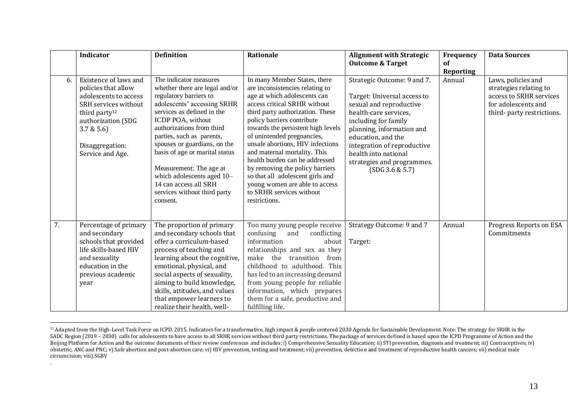|    | <b>Indicator</b>                                                                                                                                                                                     | <b>Definition</b>                                                                                                                                                                                                                                                                                                                                                                                                              | Rationale                                                                                                                                                                                                                                                                                                                                                                                                                                                                                                                         | <b>Alignment with Strategic</b><br><b>Outcome &amp; Target</b>                                                                                                                                                                                                                                    | Frequency<br><b>of</b> | <b>Data Sources</b>                                                                                                          |
|----|------------------------------------------------------------------------------------------------------------------------------------------------------------------------------------------------------|--------------------------------------------------------------------------------------------------------------------------------------------------------------------------------------------------------------------------------------------------------------------------------------------------------------------------------------------------------------------------------------------------------------------------------|-----------------------------------------------------------------------------------------------------------------------------------------------------------------------------------------------------------------------------------------------------------------------------------------------------------------------------------------------------------------------------------------------------------------------------------------------------------------------------------------------------------------------------------|---------------------------------------------------------------------------------------------------------------------------------------------------------------------------------------------------------------------------------------------------------------------------------------------------|------------------------|------------------------------------------------------------------------------------------------------------------------------|
| 6. | Existence of laws and<br>policies that allow<br>adolescents to access<br>SRH services without<br>third party <sup>12</sup><br>authorization (SDG<br>3.7 & 5.6<br>Disaggregation:<br>Service and Age. | The indicator measures<br>whether there are legal and/or<br>regulatory barriers to<br>adolescents' accessing SRHR<br>services as defined in the<br>ICDP POA, without<br>authorizations from third<br>parties, such as parents,<br>spouses or guardians, on the<br>basis of age or marital status<br>Measurement: The age at<br>which adolescents aged 10-<br>14 can access all SRH<br>services without third party<br>consent. | In many Member States, there<br>are inconsistencies relating to<br>age at which adolescents can<br>access critical SRHR without<br>third party authorization. These<br>policy barriers contribute<br>towards the persistent high levels<br>of unintended pregnancies,<br>unsafe abortions, HIV infections<br>and maternal mortality. This<br>health burden can be addressed<br>by removing the policy barriers<br>so that all adolescent girls and<br>young women are able to access<br>to SRHR services without<br>restrictions. | Strategic Outcome: 9 and 7.<br>Target: Universal access to<br>sexual and reproductive<br>health-care services,<br>including for family<br>planning, information and<br>education, and the<br>integration of reproductive<br>health into national<br>strategies and programmes.<br>(SDG 3.6 & 5.7) | Reporting<br>Annual    | Laws, policies and<br>strategies relating to<br>access to SRHR services<br>for adolescents and<br>third- party restrictions. |
| 7. | Percentage of primary<br>and secondary<br>schools that provided<br>life skills-based HIV<br>and sexuality<br>education in the<br>previous academic<br>year                                           | The proportion of primary<br>and secondary schools that<br>offer a curriculum-based<br>process of teaching and<br>learning about the cognitive,<br>emotional, physical, and<br>social aspects of sexuality,<br>aiming to build knowledge,<br>skills, attitudes, and values<br>that empower learners to<br>realize their health, well-                                                                                          | Too many young people receive<br>confusing<br>conflicting<br>and<br>information<br>about<br>relationships and sex as they<br>make the<br>transition<br>from<br>childhood to adulthood. This<br>has led to an increasing demand<br>from young people for reliable<br>information, which prepares<br>them for a safe, productive and<br>fulfilling life.                                                                                                                                                                            | Strategy Outcome: 9 and 7<br>Target:                                                                                                                                                                                                                                                              | Annual                 | Progress Reports on ESA<br>Commitments                                                                                       |

 $\overline{a}$ <sup>12</sup> Adapted from the High-Level Task Force on ICPD. 2015. Indicators for a transformative, high impact & people centered 2030 Agenda for Sustainable Development. Note: The strategy for SRHR in the SADC Region (2019 – 2030) calls for adolescents to have access to all SRHR services without third party restrictions. The package of services defined is based upon the ICPD Programme of Action and the Beijing Platform for Action and the outcome documents of their review conferences and includes: i) Comprehensive Sexuality Education; ii) STI prevention, diagnosis and treatment; iii) Contraceptives; iv) obstetric, ANC and PNC; v) Safe abortion and post-abortion care; vi) HIV prevention, testing and treatment; vii) prevention, detection and treatment of reproductive health cancers; vii) medical male circumcision; viii).SGBV

.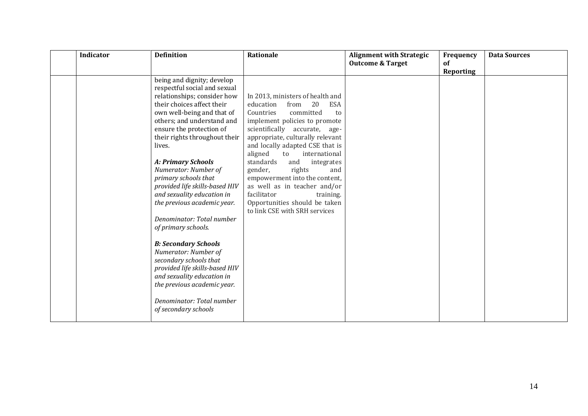| <b>Indicator</b> | <b>Definition</b>                                                                                                                                                                                                                                                                                                                                                                                                                                                                                                                                                                                                                                                                                                               | Rationale                                                                                                                                                                                                                                                                                                                                                                                                                                                                                                            | <b>Alignment with Strategic</b><br><b>Outcome &amp; Target</b> | Frequency<br><b>of</b><br>Reporting | <b>Data Sources</b> |
|------------------|---------------------------------------------------------------------------------------------------------------------------------------------------------------------------------------------------------------------------------------------------------------------------------------------------------------------------------------------------------------------------------------------------------------------------------------------------------------------------------------------------------------------------------------------------------------------------------------------------------------------------------------------------------------------------------------------------------------------------------|----------------------------------------------------------------------------------------------------------------------------------------------------------------------------------------------------------------------------------------------------------------------------------------------------------------------------------------------------------------------------------------------------------------------------------------------------------------------------------------------------------------------|----------------------------------------------------------------|-------------------------------------|---------------------|
|                  | being and dignity; develop<br>respectful social and sexual<br>relationships; consider how<br>their choices affect their<br>own well-being and that of<br>others; and understand and<br>ensure the protection of<br>their rights throughout their<br>lives.<br><b>A: Primary Schools</b><br>Numerator: Number of<br>primary schools that<br>provided life skills-based HIV<br>and sexuality education in<br>the previous academic year.<br>Denominator: Total number<br>of primary schools.<br><b>B: Secondary Schools</b><br>Numerator: Number of<br>secondary schools that<br>provided life skills-based HIV<br>and sexuality education in<br>the previous academic year.<br>Denominator: Total number<br>of secondary schools | In 2013, ministers of health and<br>education<br>20<br><b>ESA</b><br>from<br>Countries<br>committed<br>to<br>implement policies to promote<br>scientifically accurate,<br>age-<br>appropriate, culturally relevant<br>and locally adapted CSE that is<br>aligned<br>international<br>to<br>standards<br>and<br>integrates<br>gender,<br>rights<br>and<br>empowerment into the content,<br>as well as in teacher and/or<br>facilitator<br>training.<br>Opportunities should be taken<br>to link CSE with SRH services |                                                                |                                     |                     |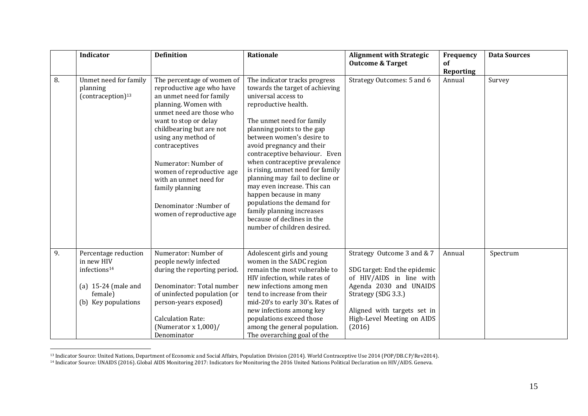| Indicator                                                                                                                 | <b>Definition</b>                                                                                                                                                                                                                                                                                                                                                                              | Rationale                                                                                                                                                                                                                                                                                                                                                                                                                                                                                                                                                      | <b>Alignment with Strategic</b><br><b>Outcome &amp; Target</b>                                                                                                                                                 | Frequency<br>of<br><b>Reporting</b> | <b>Data Sources</b> |
|---------------------------------------------------------------------------------------------------------------------------|------------------------------------------------------------------------------------------------------------------------------------------------------------------------------------------------------------------------------------------------------------------------------------------------------------------------------------------------------------------------------------------------|----------------------------------------------------------------------------------------------------------------------------------------------------------------------------------------------------------------------------------------------------------------------------------------------------------------------------------------------------------------------------------------------------------------------------------------------------------------------------------------------------------------------------------------------------------------|----------------------------------------------------------------------------------------------------------------------------------------------------------------------------------------------------------------|-------------------------------------|---------------------|
| Unmet need for family<br>planning<br>(contraception) <sup>13</sup>                                                        | The percentage of women of<br>reproductive age who have<br>an unmet need for family<br>planning. Women with<br>unmet need are those who<br>want to stop or delay<br>childbearing but are not<br>using any method of<br>contraceptives<br>Numerator: Number of<br>women of reproductive age<br>with an unmet need for<br>family planning<br>Denominator: Number of<br>women of reproductive age | The indicator tracks progress<br>towards the target of achieving<br>universal access to<br>reproductive health.<br>The unmet need for family<br>planning points to the gap<br>between women's desire to<br>avoid pregnancy and their<br>contraceptive behaviour. Even<br>when contraceptive prevalence<br>is rising, unmet need for family<br>planning may fail to decline or<br>may even increase. This can<br>happen because in many<br>populations the demand for<br>family planning increases<br>because of declines in the<br>number of children desired. | Strategy Outcomes: 5 and 6                                                                                                                                                                                     | Annual                              | Survey              |
| Percentage reduction<br>in new HIV<br>infections <sup>14</sup><br>(a) $15-24$ (male and<br>female)<br>(b) Key populations | Numerator: Number of<br>people newly infected<br>during the reporting period.<br>Denominator: Total number<br>of uninfected population (or<br>person-years exposed)<br><b>Calculation Rate:</b><br>(Numerator x $1,000$ )/                                                                                                                                                                     | Adolescent girls and young<br>women in the SADC region<br>remain the most vulnerable to<br>HIV infection, while rates of<br>new infections among men<br>tend to increase from their<br>mid-20's to early 30's. Rates of<br>new infections among key<br>populations exceed those<br>among the general population.                                                                                                                                                                                                                                               | Strategy Outcome 3 and & 7<br>SDG target: End the epidemic<br>of HIV/AIDS in line with<br>Agenda 2030 and UNAIDS<br>Strategy (SDG 3.3.)<br>Aligned with targets set in<br>High-Level Meeting on AIDS<br>(2016) | Annual                              | Spectrum            |
|                                                                                                                           |                                                                                                                                                                                                                                                                                                                                                                                                | Denominator                                                                                                                                                                                                                                                                                                                                                                                                                                                                                                                                                    | The overarching goal of the                                                                                                                                                                                    |                                     |                     |

<sup>13</sup> Indicator Source: United Nations, Department of Economic and Social Affairs, Population Division (2014). World Contraceptive Use 2014 (POP/DB.CP/Rev2014).

<sup>14</sup> Indicator Source: UNAIDS (2016). Global AIDS Monitoring 2017: Indicators for Monitoring the 2016 United Nations Political Declaration on HIV/AIDS. Geneva.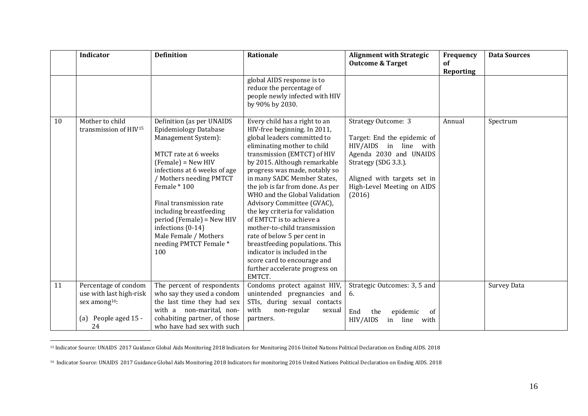|    | <b>Indicator</b>                                     | <b>Definition</b>                                                                                                                                                                                                                                                                                                                                                            | Rationale                                                                                                                                                                                                                                                                                                                                                                                                                                                                                                                                                                                                                                 | <b>Alignment with Strategic</b><br><b>Outcome &amp; Target</b>                                                                                                                                              | Frequency<br>of | <b>Data Sources</b> |
|----|------------------------------------------------------|------------------------------------------------------------------------------------------------------------------------------------------------------------------------------------------------------------------------------------------------------------------------------------------------------------------------------------------------------------------------------|-------------------------------------------------------------------------------------------------------------------------------------------------------------------------------------------------------------------------------------------------------------------------------------------------------------------------------------------------------------------------------------------------------------------------------------------------------------------------------------------------------------------------------------------------------------------------------------------------------------------------------------------|-------------------------------------------------------------------------------------------------------------------------------------------------------------------------------------------------------------|-----------------|---------------------|
|    |                                                      |                                                                                                                                                                                                                                                                                                                                                                              | global AIDS response is to<br>reduce the percentage of<br>people newly infected with HIV<br>by 90% by 2030.                                                                                                                                                                                                                                                                                                                                                                                                                                                                                                                               |                                                                                                                                                                                                             | Reporting       |                     |
| 10 | Mother to child<br>transmission of HIV <sup>15</sup> | Definition (as per UNAIDS<br><b>Epidemiology Database</b><br>Management System):<br>MTCT rate at 6 weeks<br>$(Female) = New HIV$<br>infections at 6 weeks of age<br>/ Mothers needing PMTCT<br>Female * 100<br>Final transmission rate<br>including breastfeeding<br>period (Female) = New HIV<br>infections (0-14)<br>Male Female / Mothers<br>needing PMTCT Female*<br>100 | Every child has a right to an<br>HIV-free beginning. In 2011,<br>global leaders committed to<br>eliminating mother to child<br>transmission (EMTCT) of HIV<br>by 2015. Although remarkable<br>progress was made, notably so<br>in many SADC Member States,<br>the job is far from done. As per<br>WHO and the Global Validation<br>Advisory Committee (GVAC),<br>the key criteria for validation<br>of EMTCT is to achieve a<br>mother-to-child transmission<br>rate of below 5 per cent in<br>breastfeeding populations. This<br>indicator is included in the<br>score card to encourage and<br>further accelerate progress on<br>EMTCT. | <b>Strategy Outcome: 3</b><br>Target: End the epidemic of<br>HIV/AIDS in line with<br>Agenda 2030 and UNAIDS<br>Strategy (SDG 3.3.).<br>Aligned with targets set in<br>High-Level Meeting on AIDS<br>(2016) | Annual          | Spectrum            |
| 11 | Percentage of condom<br>use with last high-risk      | The percent of respondents<br>who say they used a condom                                                                                                                                                                                                                                                                                                                     | Condoms protect against HIV,<br>unintended pregnancies and                                                                                                                                                                                                                                                                                                                                                                                                                                                                                                                                                                                | Strategic Outcomes: 3, 5 and<br>6.                                                                                                                                                                          |                 | <b>Survey Data</b>  |
|    | sex among <sup>16</sup> :                            | the last time they had sex                                                                                                                                                                                                                                                                                                                                                   | STIs, during sexual contacts                                                                                                                                                                                                                                                                                                                                                                                                                                                                                                                                                                                                              |                                                                                                                                                                                                             |                 |                     |
|    | (a) People aged 15 -<br>24                           | with a non-marital, non-<br>cohabiting partner, of those<br>who have had sex with such                                                                                                                                                                                                                                                                                       | with<br>non-regular<br>sexual<br>partners.                                                                                                                                                                                                                                                                                                                                                                                                                                                                                                                                                                                                | End<br>epidemic<br>of<br>the<br>line<br>HIV/AIDS<br>with<br>in                                                                                                                                              |                 |                     |

<sup>&</sup>lt;sup>15</sup> Indicator Source: UNAIDS 2017 Guidance Global Aids Monitoring 2018 Indicators for Monitoring 2016 United Nations Political Declaration on Ending AIDS. 2018

<sup>&</sup>lt;sup>16</sup> Indicator Source: UNAIDS 2017 Guidance Global Aids Monitoring 2018 Indicators for monitoring 2016 United Nations Political Declaration on Ending AIDS. 2018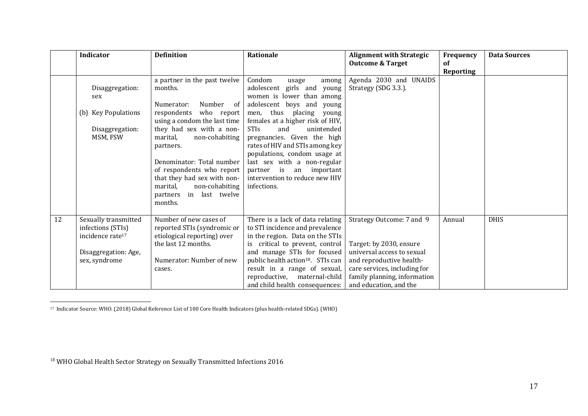|    | <b>Indicator</b>                                                          | <b>Definition</b>                                                                                                                                                                                                                | Rationale                                                                                                                                                                                                                                     | <b>Alignment with Strategic</b><br><b>Outcome &amp; Target</b>                                                                                   | Frequency<br>of  | <b>Data Sources</b> |
|----|---------------------------------------------------------------------------|----------------------------------------------------------------------------------------------------------------------------------------------------------------------------------------------------------------------------------|-----------------------------------------------------------------------------------------------------------------------------------------------------------------------------------------------------------------------------------------------|--------------------------------------------------------------------------------------------------------------------------------------------------|------------------|---------------------|
|    |                                                                           |                                                                                                                                                                                                                                  |                                                                                                                                                                                                                                               |                                                                                                                                                  | <b>Reporting</b> |                     |
|    | Disaggregation:<br>sex                                                    | a partner in the past twelve<br>months.                                                                                                                                                                                          | Condom<br>usage<br>among<br>adolescent girls and young<br>women is lower than among                                                                                                                                                           | Agenda 2030 and UNAIDS<br>Strategy (SDG 3.3.).                                                                                                   |                  |                     |
|    | (b) Key Populations                                                       | Number of<br>Numerator:<br>respondents<br>who report<br>using a condom the last time                                                                                                                                             | adolescent boys and young<br>men, thus placing young<br>females at a higher risk of HIV,                                                                                                                                                      |                                                                                                                                                  |                  |                     |
|    | Disaggregation:<br>MSM, FSW                                               | they had sex with a non-<br>marital,<br>non-cohabiting<br>partners.<br>Denominator: Total number<br>of respondents who report<br>that they had sex with non-<br>marital,<br>non-cohabiting<br>partners in last twelve<br>months. | <b>STIs</b><br>unintended<br>and<br>pregnancies. Given the high<br>rates of HIV and STIs among key<br>populations, condom usage at<br>last sex with a non-regular<br>partner is an important<br>intervention to reduce new HIV<br>infections. |                                                                                                                                                  |                  |                     |
| 12 | Sexually transmitted<br>infections (STIs)<br>incidence rate <sup>17</sup> | Number of new cases of<br>reported STIs (syndromic or<br>etiological reporting) over<br>the last 12 months.                                                                                                                      | There is a lack of data relating<br>to STI incidence and prevalence<br>in the region. Data on the STIs<br>is critical to prevent, control                                                                                                     | Strategy Outcome: 7 and 9<br>Target: by 2030, ensure                                                                                             | Annual           | <b>DHIS</b>         |
|    | Disaggregation: Age,<br>sex, syndrome                                     | Numerator: Number of new<br>cases.                                                                                                                                                                                               | and manage STIs for focused<br>public health action <sup>18</sup> . STIs can<br>result in a range of sexual,<br>reproductive, maternal-child<br>and child health consequences:                                                                | universal access to sexual<br>and reproductive health-<br>care services, including for<br>family planning, information<br>and education, and the |                  |                     |

<sup>17</sup> Indicator Source: WHO. (2018) Global Reference List of 100 Core Health Indicators (plus health-related SDGs). (WHO)

<sup>&</sup>lt;sup>18</sup> WHO Global Health Sector Strategy on Sexually Transmitted Infections 2016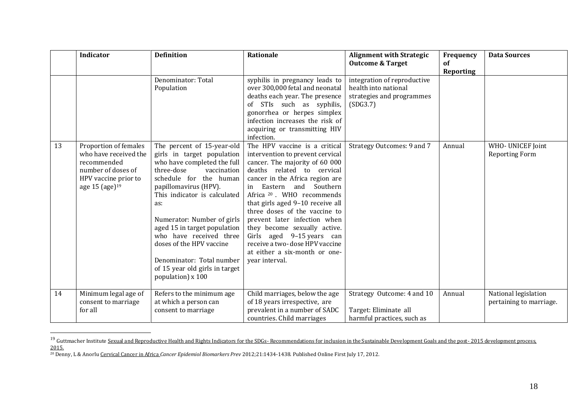|    | Indicator                                                                                                                        | <b>Definition</b>                                                                                                                                                                                                                                                                                                                                                                                                       | Rationale                                                                                                                                                                                                                                                                                                                                                                                                                                                                                       | <b>Alignment with Strategic</b><br><b>Outcome &amp; Target</b>                               | Frequency<br>of  | <b>Data Sources</b>                             |
|----|----------------------------------------------------------------------------------------------------------------------------------|-------------------------------------------------------------------------------------------------------------------------------------------------------------------------------------------------------------------------------------------------------------------------------------------------------------------------------------------------------------------------------------------------------------------------|-------------------------------------------------------------------------------------------------------------------------------------------------------------------------------------------------------------------------------------------------------------------------------------------------------------------------------------------------------------------------------------------------------------------------------------------------------------------------------------------------|----------------------------------------------------------------------------------------------|------------------|-------------------------------------------------|
|    |                                                                                                                                  |                                                                                                                                                                                                                                                                                                                                                                                                                         |                                                                                                                                                                                                                                                                                                                                                                                                                                                                                                 |                                                                                              | <b>Reporting</b> |                                                 |
|    |                                                                                                                                  | Denominator: Total<br>Population                                                                                                                                                                                                                                                                                                                                                                                        | syphilis in pregnancy leads to<br>over 300,000 fetal and neonatal<br>deaths each year. The presence<br>of STIs such as syphilis,<br>gonorrhea or herpes simplex<br>infection increases the risk of<br>acquiring or transmitting HIV<br>infection.                                                                                                                                                                                                                                               | integration of reproductive<br>health into national<br>strategies and programmes<br>(SDG3.7) |                  |                                                 |
| 13 | Proportion of females<br>who have received the<br>recommended<br>number of doses of<br>HPV vaccine prior to<br>age 15 (age) $19$ | The percent of 15-year-old<br>girls in target population<br>who have completed the full<br>three-dose<br>vaccination<br>schedule for the human<br>papillomavirus (HPV).<br>This indicator is calculated<br>as:<br>Numerator: Number of girls<br>aged 15 in target population<br>who have received three<br>doses of the HPV vaccine<br>Denominator: Total number<br>of 15 year old girls in target<br>population) x 100 | The HPV vaccine is a critical<br>intervention to prevent cervical<br>cancer. The majority of 60 000<br>deaths related to cervical<br>cancer in the Africa region are<br>in Eastern and Southern<br>Africa <sup>20</sup> . WHO recommends<br>that girls aged 9-10 receive all<br>three doses of the vaccine to<br>prevent later infection when<br>they become sexually active.<br>Girls aged 9-15 years can<br>receive a two-dose HPV vaccine<br>at either a six-month or one-<br>year interval. | Strategy Outcomes: 9 and 7                                                                   | Annual           | WHO- UNICEF Joint<br><b>Reporting Form</b>      |
| 14 | Minimum legal age of<br>consent to marriage<br>for all                                                                           | Refers to the minimum age<br>at which a person can<br>consent to marriage                                                                                                                                                                                                                                                                                                                                               | Child marriages, below the age<br>of 18 years irrespective, are<br>prevalent in a number of SADC<br>countries. Child marriages                                                                                                                                                                                                                                                                                                                                                                  | Strategy Outcome: 4 and 10<br>Target: Eliminate all<br>harmful practices, such as            | Annual           | National legislation<br>pertaining to marriage. |

<sup>&</sup>lt;sup>19</sup> Guttmacher Institute <u>Sexual and Reproductive Health and Rights Indicators for the SDGs- Recommendations for inclusion in the Sustainable Development Goals and the post-2015 development process,</u> 2015.

<sup>20</sup> Denny, L & Anorlu Cervical Cancer in Africa *Cancer Epidemiol Biomarkers Prev* 2012;21:1434-1438. Published Online First July 17, 2012.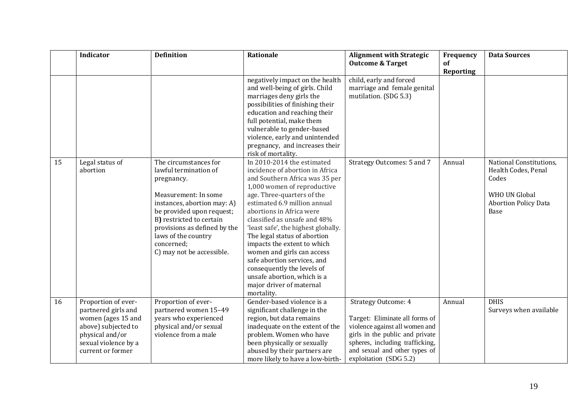|    | Indicator                                                                                                                                               | <b>Definition</b>                                                                                                                                                                                                                                                              | Rationale                                                                                                                                                                                                                                                                                                                                                                                                                                                                                                                          | <b>Alignment with Strategic</b><br><b>Outcome &amp; Target</b>                                                                                                                                                                  | Frequency<br>of  | <b>Data Sources</b>                                                                                                    |
|----|---------------------------------------------------------------------------------------------------------------------------------------------------------|--------------------------------------------------------------------------------------------------------------------------------------------------------------------------------------------------------------------------------------------------------------------------------|------------------------------------------------------------------------------------------------------------------------------------------------------------------------------------------------------------------------------------------------------------------------------------------------------------------------------------------------------------------------------------------------------------------------------------------------------------------------------------------------------------------------------------|---------------------------------------------------------------------------------------------------------------------------------------------------------------------------------------------------------------------------------|------------------|------------------------------------------------------------------------------------------------------------------------|
|    |                                                                                                                                                         |                                                                                                                                                                                                                                                                                | negatively impact on the health<br>and well-being of girls. Child<br>marriages deny girls the<br>possibilities of finishing their<br>education and reaching their<br>full potential, make them<br>vulnerable to gender-based<br>violence, early and unintended                                                                                                                                                                                                                                                                     | child, early and forced<br>marriage and female genital<br>mutilation. (SDG 5.3)                                                                                                                                                 | <b>Reporting</b> |                                                                                                                        |
|    |                                                                                                                                                         |                                                                                                                                                                                                                                                                                | pregnancy, and increases their<br>risk of mortality.                                                                                                                                                                                                                                                                                                                                                                                                                                                                               |                                                                                                                                                                                                                                 |                  |                                                                                                                        |
| 15 | Legal status of<br>abortion                                                                                                                             | The circumstances for<br>lawful termination of<br>pregnancy.<br>Measurement: In some<br>instances, abortion may: A)<br>be provided upon request;<br>B) restricted to certain<br>provisions as defined by the<br>laws of the country<br>concerned;<br>C) may not be accessible. | In 2010-2014 the estimated<br>incidence of abortion in Africa<br>and Southern Africa was 35 per<br>1,000 women of reproductive<br>age. Three-quarters of the<br>estimated 6.9 million annual<br>abortions in Africa were<br>classified as unsafe and 48%<br>'least safe', the highest globally.<br>The legal status of abortion<br>impacts the extent to which<br>women and girls can access<br>safe abortion services, and<br>consequently the levels of<br>unsafe abortion, which is a<br>major driver of maternal<br>mortality. | Strategy Outcomes: 5 and 7                                                                                                                                                                                                      | Annual           | National Constitutions,<br>Health Codes, Penal<br>Codes<br><b>WHO UN Global</b><br><b>Abortion Policy Data</b><br>Base |
| 16 | Proportion of ever-<br>partnered girls and<br>women (ages 15 and<br>above) subjected to<br>physical and/or<br>sexual violence by a<br>current or former | Proportion of ever-<br>partnered women 15-49<br>years who experienced<br>physical and/or sexual<br>violence from a male                                                                                                                                                        | Gender-based violence is a<br>significant challenge in the<br>region, but data remains<br>inadequate on the extent of the<br>problem. Women who have<br>been physically or sexually<br>abused by their partners are<br>more likely to have a low-birth-                                                                                                                                                                                                                                                                            | <b>Strategy Outcome: 4</b><br>Target: Eliminate all forms of<br>violence against all women and<br>girls in the public and private<br>spheres, including trafficking,<br>and sexual and other types of<br>exploitation (SDG 5.2) | Annual           | <b>DHIS</b><br>Surveys when available                                                                                  |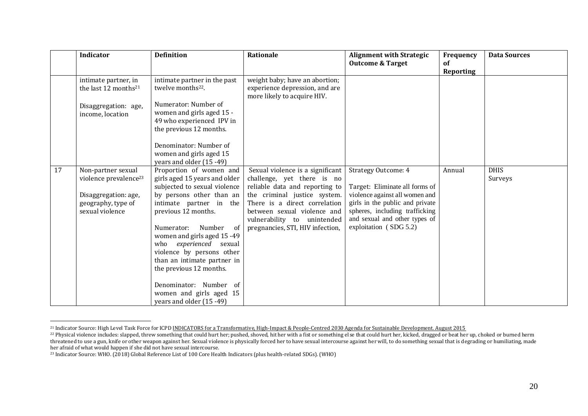|    | <b>Indicator</b>                                                                                                         | <b>Definition</b>                                                                                                                                                                                                                                                                                                                                                                                                                         | <b>Rationale</b>                                                                                                                                                                                                                                                    | <b>Alignment with Strategic</b><br><b>Outcome &amp; Target</b>                                                                                                                                                                 | Frequency<br><b>of</b><br>Reporting | <b>Data Sources</b>    |
|----|--------------------------------------------------------------------------------------------------------------------------|-------------------------------------------------------------------------------------------------------------------------------------------------------------------------------------------------------------------------------------------------------------------------------------------------------------------------------------------------------------------------------------------------------------------------------------------|---------------------------------------------------------------------------------------------------------------------------------------------------------------------------------------------------------------------------------------------------------------------|--------------------------------------------------------------------------------------------------------------------------------------------------------------------------------------------------------------------------------|-------------------------------------|------------------------|
|    | intimate partner, in<br>the last 12 months <sup>21</sup><br>Disaggregation: age,<br>income, location                     | intimate partner in the past<br>twelve months <sup>22</sup> .<br>Numerator: Number of<br>women and girls aged 15 -<br>49 who experienced IPV in<br>the previous 12 months.<br>Denominator: Number of<br>women and girls aged 15<br>years and older (15 -49)                                                                                                                                                                               | weight baby; have an abortion;<br>experience depression, and are<br>more likely to acquire HIV.                                                                                                                                                                     |                                                                                                                                                                                                                                |                                     |                        |
| 17 | Non-partner sexual<br>violence prevalence <sup>23</sup><br>Disaggregation: age,<br>geography, type of<br>sexual violence | Proportion of women and<br>girls aged 15 years and older<br>subjected to sexual violence<br>by persons other than an<br>intimate partner in the<br>previous 12 months.<br>Number<br>- of<br>Numerator:<br>women and girls aged 15-49<br>who experienced<br>sexual<br>violence by persons other<br>than an intimate partner in<br>the previous 12 months.<br>Denominator: Number of<br>women and girls aged 15<br>years and older (15 -49) | Sexual violence is a significant<br>challenge, yet there is no<br>reliable data and reporting to<br>the criminal justice system.<br>There is a direct correlation<br>between sexual violence and<br>vulnerability to unintended<br>pregnancies, STI, HIV infection, | <b>Strategy Outcome: 4</b><br>Target: Eliminate all forms of<br>violence against all women and<br>girls in the public and private<br>spheres, including trafficking<br>and sexual and other types of<br>exploitation (SDG 5.2) | Annual                              | <b>DHIS</b><br>Surveys |

 $\overline{a}$ <sup>21</sup> Indicator Source: High Level Task Force for ICPD INDICATORS for a Transformative, High-Impact & People-Centred 2030 Agenda for Sustainable Development. August 2015

<sup>&</sup>lt;sup>22</sup> Physical violence includes: slapped, threw something that could hurt her; pushed, shoved, hit her with a fist or something else that could hurt her, kicked, dragged or beat her up, choked or burned herm threatened to use a gun, knife or other weapon against her. Sexual violence is physically forced her to have sexual intercourse against her will, to do something sexual that is degrading or humiliating, made her afraid of what would happen if she did not have sexual intercourse.

<sup>23</sup> Indicator Source: WHO. (2018) Global Reference List of 100 Core Health Indicators (plus health-related SDGs). (WHO)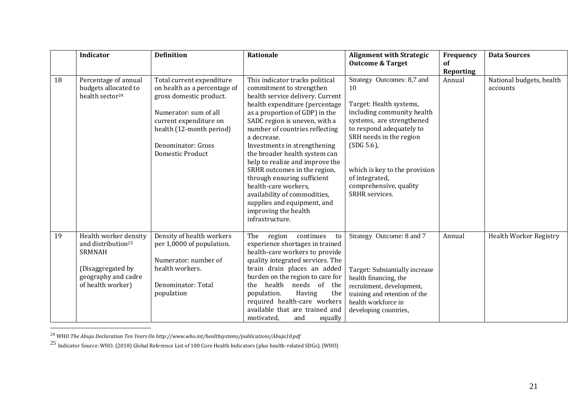|    | Indicator                                                                                                                                 | <b>Definition</b>                                                                                                                                                                                                    | Rationale                                                                                                                                                                                                                                                                                                                                                                                                                                                                                                                                                  | <b>Alignment with Strategic</b><br><b>Outcome &amp; Target</b>                                                                                                                                                                                                                            | Frequency<br><b>of</b> | <b>Data Sources</b>                  |
|----|-------------------------------------------------------------------------------------------------------------------------------------------|----------------------------------------------------------------------------------------------------------------------------------------------------------------------------------------------------------------------|------------------------------------------------------------------------------------------------------------------------------------------------------------------------------------------------------------------------------------------------------------------------------------------------------------------------------------------------------------------------------------------------------------------------------------------------------------------------------------------------------------------------------------------------------------|-------------------------------------------------------------------------------------------------------------------------------------------------------------------------------------------------------------------------------------------------------------------------------------------|------------------------|--------------------------------------|
| 18 | Percentage of annual<br>budgets allocated to<br>health sector <sup>24</sup>                                                               | Total current expenditure<br>on health as a percentage of<br>gross domestic product.<br>Numerator: sum of all<br>current expenditure on<br>health (12-month period)<br>Denominator: Gross<br><b>Domestic Product</b> | This indicator tracks political<br>commitment to strengthen<br>health service delivery. Current<br>health expenditure (percentage<br>as a proportion of GDP) in the<br>SADC region is uneven, with a<br>number of countries reflecting<br>a decrease.<br>Investments in strengthening<br>the broader health system can<br>help to realize and improve the<br>SRHR outcomes in the region,<br>through ensuring sufficient<br>health-care workers,<br>availability of commodities,<br>supplies and equipment, and<br>improving the health<br>infrastructure. | Strategy Outcomes: 8,7 and<br>10<br>Target: Health systems,<br>including community health<br>systems, are strengthened<br>to respond adequately to<br>SRH needs in the region<br>(SDG 5.6)<br>which is key to the provision<br>of integrated,<br>comprehensive, quality<br>SRHR services. | Reporting<br>Annual    | National budgets, health<br>accounts |
| 19 | Health worker density<br>and distribution <sup>25</sup><br><b>SRMNAH</b><br>(Disaggregated by<br>geography and cadre<br>of health worker) | Density of health workers<br>per 1,0000 of population.<br>Numerator: number of<br>health workers.<br>Denominator: Total<br>population                                                                                | region continues<br>The<br>to<br>experience shortages in trained<br>health-care workers to provide<br>quality integrated services. The<br>brain drain places an added<br>burden on the region to care for<br>health needs of the<br>the<br>population.<br>Having<br>the<br>required health-care workers<br>available that are trained and<br>equally<br>motivated,<br>and                                                                                                                                                                                  | Strategy Outcome: 8 and 7<br>Target: Substantially increase<br>health financing, the<br>recruitment, development,<br>training and retention of the<br>health workforce in<br>developing countries,                                                                                        | Annual                 | <b>Health Worker Registry</b>        |

<sup>24</sup> WHO *The Abuja Declaration Ten Years On http://www.who.int/healthsystems/publications/Abuja10.pdf*

 $\overline{a}$ 

 $^{25}$  Indicator Source: WHO. (2018) Global Reference List of 100 Core Health Indicators (plus health-related SDGs). (WHO)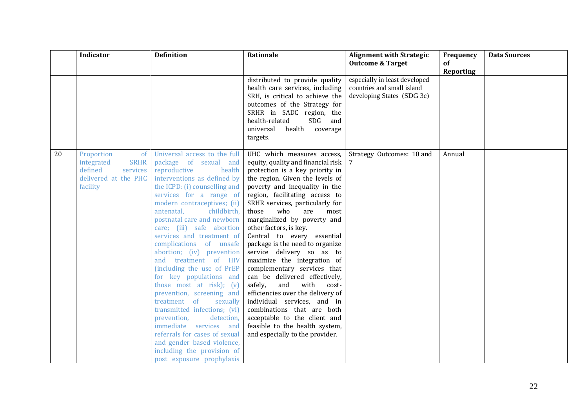|    | Indicator                                                                                                | <b>Definition</b>                                                                                                                                                                                                                                                                                                                                                                                                                                                                                                                                                                                                                                                                                                                                                             | Rationale                                                                                                                                                                                                                                                                                                                                                                                                                                                                                                                                                                                                                                                                                                                                                                   | <b>Alignment with Strategic</b><br><b>Outcome &amp; Target</b>                            | Frequency<br>of | <b>Data Sources</b> |
|----|----------------------------------------------------------------------------------------------------------|-------------------------------------------------------------------------------------------------------------------------------------------------------------------------------------------------------------------------------------------------------------------------------------------------------------------------------------------------------------------------------------------------------------------------------------------------------------------------------------------------------------------------------------------------------------------------------------------------------------------------------------------------------------------------------------------------------------------------------------------------------------------------------|-----------------------------------------------------------------------------------------------------------------------------------------------------------------------------------------------------------------------------------------------------------------------------------------------------------------------------------------------------------------------------------------------------------------------------------------------------------------------------------------------------------------------------------------------------------------------------------------------------------------------------------------------------------------------------------------------------------------------------------------------------------------------------|-------------------------------------------------------------------------------------------|-----------------|---------------------|
|    |                                                                                                          |                                                                                                                                                                                                                                                                                                                                                                                                                                                                                                                                                                                                                                                                                                                                                                               | distributed to provide quality<br>health care services, including<br>SRH, is critical to achieve the<br>outcomes of the Strategy for<br>SRHR in SADC region, the<br>health-related<br>SDG<br>and<br>universal<br>health<br>coverage<br>targets.                                                                                                                                                                                                                                                                                                                                                                                                                                                                                                                             | especially in least developed<br>countries and small island<br>developing States (SDG 3c) | Reporting       |                     |
| 20 | Proportion<br>of<br><b>SRHR</b><br>integrated<br>defined<br>services<br>delivered at the PHC<br>facility | Universal access to the full<br>package of sexual and<br>reproductive<br>health<br>interventions as defined by<br>the ICPD: (i) counselling and<br>services for a range of<br>modern contraceptives; (ii)<br>childbirth,<br>antenatal,<br>postnatal care and newborn<br>care; (iii) safe abortion<br>services and treatment of<br>complications of unsafe<br>abortion; (iv) prevention<br>and treatment of HIV<br>(including the use of PrEP<br>for key populations and<br>those most at risk); (v)<br>prevention, screening and<br>treatment of<br>sexually<br>transmitted infections; (vi)<br>prevention,<br>detection.<br>immediate services and<br>referrals for cases of sexual<br>and gender based violence,<br>including the provision of<br>post exposure prophylaxis | UHC which measures access,<br>equity, quality and financial risk<br>protection is a key priority in<br>the region. Given the levels of<br>poverty and inequality in the<br>region, facilitating access to<br>SRHR services, particularly for<br>who<br>those<br>most<br>are<br>marginalized by poverty and<br>other factors, is key.<br>Central to every essential<br>package is the need to organize<br>service delivery so as to<br>maximize the integration of<br>complementary services that<br>can be delivered effectively,<br>and<br>with<br>safely,<br>cost-<br>efficiencies over the delivery of<br>individual services, and in<br>combinations that are both<br>acceptable to the client and<br>feasible to the health system,<br>and especially to the provider. | Strategy Outcomes: 10 and                                                                 | Annual          |                     |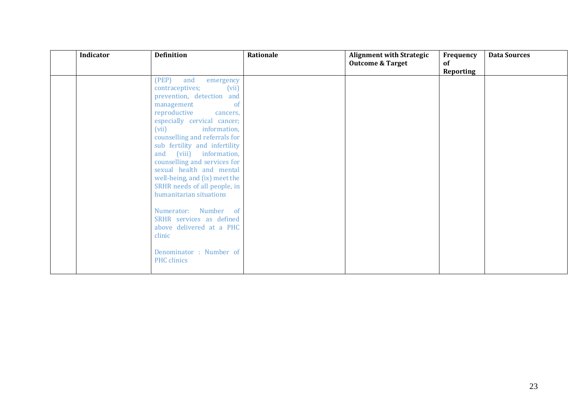| Indicator | <b>Definition</b>                                                                                                                                                                                                                                                                                                                                                                                                                                                                                                                                                                   | Rationale | <b>Alignment with Strategic</b><br><b>Outcome &amp; Target</b> | Frequency<br>0f<br>Reporting | <b>Data Sources</b> |
|-----------|-------------------------------------------------------------------------------------------------------------------------------------------------------------------------------------------------------------------------------------------------------------------------------------------------------------------------------------------------------------------------------------------------------------------------------------------------------------------------------------------------------------------------------------------------------------------------------------|-----------|----------------------------------------------------------------|------------------------------|---------------------|
|           | (PEP)<br>and<br>emergency<br>(vii)<br>contraceptives;<br>prevention, detection and<br>management<br>-of<br>reproductive<br>cancers,<br>especially cervical cancer;<br>(vii)<br>information,<br>counselling and referrals for<br>sub fertility and infertility<br>and (viii) information,<br>counselling and services for<br>sexual health and mental<br>well-being, and (ix) meet the<br>SRHR needs of all people, in<br>humanitarian situations<br>Numerator: Number of<br>SRHR services as defined<br>above delivered at a PHC<br>clinic<br>Denominator: Number of<br>PHC clinics |           |                                                                |                              |                     |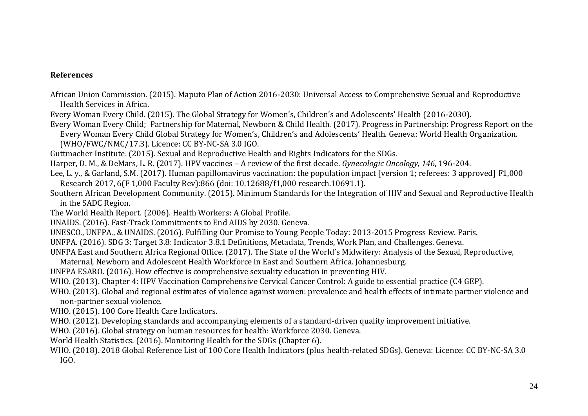#### **References**

- African Union Commission. (2015). Maputo Plan of Action 2016-2030: Universal Access to Comprehensive Sexual and Reproductive Health Services in Africa.
- Every Woman Every Child. (2015). The Global Strategy for Women's, Children's and Adolescents' Health (2016-2030).
- Every Woman Every Child; Partnership for Maternal, Newborn & Child Health. (2017). Progress in Partnership: Progress Report on the Every Woman Every Child Global Strategy for Women's, Children's and Adolescents' Health. Geneva: World Health Organization.

(WHO/FWC/NMC/17.3). Licence: CC BY-NC-SA 3.0 IGO.

- Guttmacher Institute. (2015). Sexual and Reproductive Health and Rights Indicators for the SDGs.
- Harper, D. M., & DeMars, L. R. (2017). HPV vaccines A review of the first decade. *Gynecologic Oncology, 146*, 196-204.
- Lee, L. y., & Garland, S.M. (2017). Human papillomavirus vaccination: the population impact [version 1; referees: 3 approved] F1,000 Research 2017, 6(F 1,000 Faculty Rev):866 (doi: 10.12688/f1,000 research.10691.1).
- Southern African Development Community. (2015). Minimum Standards for the Integration of HIV and Sexual and Reproductive Health in the SADC Region.
- The World Health Report. (2006). Health Workers: A Global Profile.
- UNAIDS. (2016). Fast-Track Commitments to End AIDS by 2030. Geneva.
- UNESCO., UNFPA., & UNAIDS. (2016). Fulfilling Our Promise to Young People Today: 2013-2015 Progress Review. Paris.
- UNFPA. (2016). SDG 3: Target 3.8: Indicator 3.8.1 Definitions, Metadata, Trends, Work Plan, and Challenges. Geneva.

UNFPA East and Southern Africa Regional Office. (2017). The State of the World's Midwifery: Analysis of the Sexual, Reproductive,

- Maternal, Newborn and Adolescent Health Workforce in East and Southern Africa. Johannesburg.
- UNFPA ESARO. (2016). How effective is comprehensive sexuality education in preventing HIV.
- WHO. (2013). Chapter 4: HPV Vaccination Comprehensive Cervical Cancer Control: A guide to essential practice (C4 GEP).
- WHO. (2013). Global and regional estimates of violence against women: prevalence and health effects of intimate partner violence and non-partner sexual violence.
- WHO. (2015). 100 Core Health Care Indicators.
- WHO. (2012). Developing standards and accompanying elements of a standard-driven quality improvement initiative.
- WHO. (2016). Global strategy on human resources for health: Workforce 2030. Geneva.
- World Health Statistics. (2016). Monitoring Health for the SDGs (Chapter 6).
- WHO. (2018). 2018 Global Reference List of 100 Core Health Indicators (plus health-related SDGs). Geneva: Licence: CC BY-NC-SA 3.0 IGO.